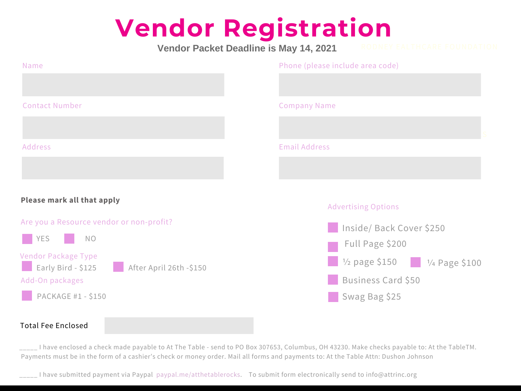## **Vendor Registration**

**Vendor Packet Deadline is May 14, 2021**

| Name                                                                                                                                                                                                               | Phone (please include area code)                                                                                                                                                                    |
|--------------------------------------------------------------------------------------------------------------------------------------------------------------------------------------------------------------------|-----------------------------------------------------------------------------------------------------------------------------------------------------------------------------------------------------|
|                                                                                                                                                                                                                    |                                                                                                                                                                                                     |
| <b>Contact Number</b>                                                                                                                                                                                              | <b>Company Name</b>                                                                                                                                                                                 |
|                                                                                                                                                                                                                    |                                                                                                                                                                                                     |
| Address                                                                                                                                                                                                            | <b>Email Address</b>                                                                                                                                                                                |
|                                                                                                                                                                                                                    |                                                                                                                                                                                                     |
| Please mark all that apply<br>Are you a Resource vendor or non-profit?<br>YES<br><b>NO</b><br><b>Vendor Package Type</b><br>Early Bird - \$125<br>After April 26th -\$150<br>Add-On packages<br>PACKAGE #1 - \$150 | <b>Advertising Options</b><br>Inside/ Back Cover \$250<br>Full Page \$200<br>$\frac{1}{2}$ page \$150<br>1/4 Page \$100<br>$\mathcal{L}^{\text{max}}$<br><b>Business Card \$50</b><br>Swag Bag \$25 |

## Total Fee Enclosed

\_\_\_\_\_ I have enclosed a check made payable to At The Table - send to PO Box 307653, Columbus, OH 43230. Make checks payable to: At the TableTM. Payments must be in the form of a cashier's check or money order. Mail all forms and payments to: At the Table Attn: Dushon Johnson

\_\_\_\_\_ I have submitted payment via Paypal paypal.me/atthetablerocks. To submit form electronically send to info@attrinc.org